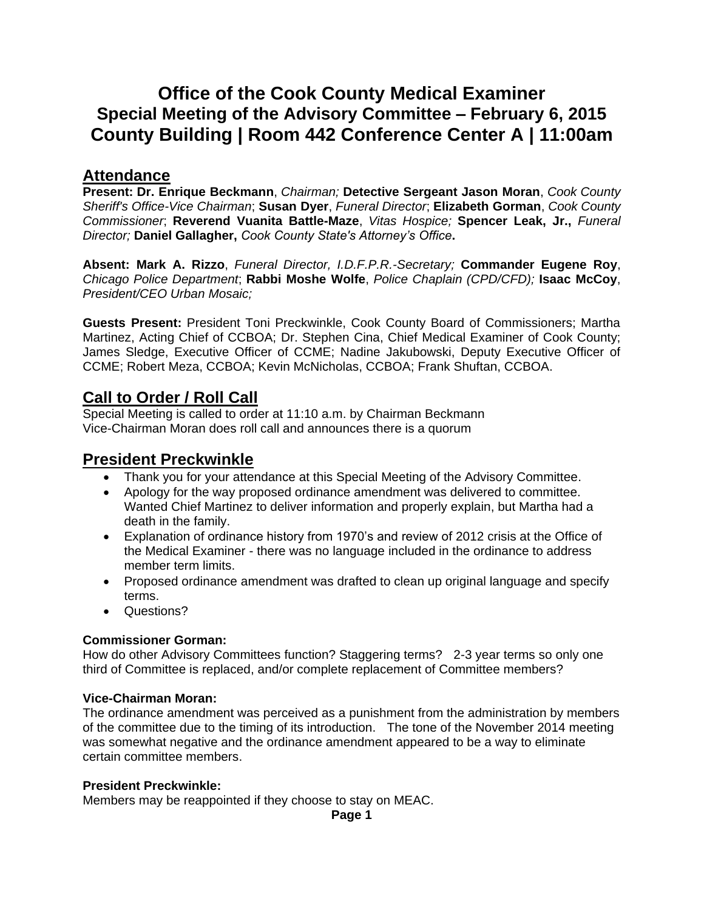# **Office of the Cook County Medical Examiner Special Meeting of the Advisory Committee – February 6, 2015 County Building | Room 442 Conference Center A | 11:00am**

# **Attendance**

**Present: Dr. Enrique Beckmann**, *Chairman;* **Detective Sergeant Jason Moran**, *Cook County Sheriff's Office-Vice Chairman*; **Susan Dyer**, *Funeral Director*; **Elizabeth Gorman**, *Cook County Commissioner*; **Reverend Vuanita Battle-Maze**, *Vitas Hospice;* **Spencer Leak, Jr.,** *Funeral Director;* **Daniel Gallagher,** *Cook County State's Attorney's Office***.**

**Absent: Mark A. Rizzo**, *Funeral Director, I.D.F.P.R.-Secretary;* **Commander Eugene Roy**, *Chicago Police Department*; **Rabbi Moshe Wolfe**, *Police Chaplain (CPD/CFD);* **Isaac McCoy**, *President/CEO Urban Mosaic;* 

**Guests Present:** President Toni Preckwinkle, Cook County Board of Commissioners; Martha Martinez, Acting Chief of CCBOA; Dr. Stephen Cina, Chief Medical Examiner of Cook County; James Sledge, Executive Officer of CCME; Nadine Jakubowski, Deputy Executive Officer of CCME; Robert Meza, CCBOA; Kevin McNicholas, CCBOA; Frank Shuftan, CCBOA.

# **Call to Order / Roll Call**

Special Meeting is called to order at 11:10 a.m. by Chairman Beckmann Vice-Chairman Moran does roll call and announces there is a quorum

# **President Preckwinkle**

- Thank you for your attendance at this Special Meeting of the Advisory Committee.
- Apology for the way proposed ordinance amendment was delivered to committee. Wanted Chief Martinez to deliver information and properly explain, but Martha had a death in the family.
- Explanation of ordinance history from 1970's and review of 2012 crisis at the Office of the Medical Examiner - there was no language included in the ordinance to address member term limits.
- Proposed ordinance amendment was drafted to clean up original language and specify terms.
- Questions?

### **Commissioner Gorman:**

How do other Advisory Committees function? Staggering terms? 2-3 year terms so only one third of Committee is replaced, and/or complete replacement of Committee members?

### **Vice-Chairman Moran:**

The ordinance amendment was perceived as a punishment from the administration by members of the committee due to the timing of its introduction. The tone of the November 2014 meeting was somewhat negative and the ordinance amendment appeared to be a way to eliminate certain committee members.

### **President Preckwinkle:**

Members may be reappointed if they choose to stay on MEAC.

**Page 1**